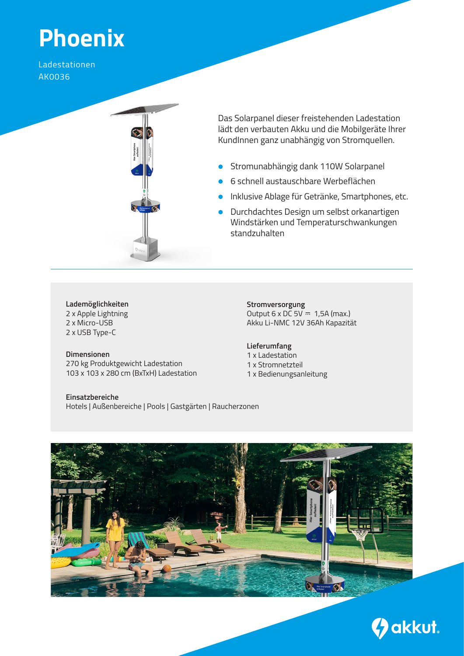# **Phoenix**

Ladestationen AK0036



Das Solarpanel dieser freistehenden Ladestation lädt den verbauten Akku und die Mobilgeräte Ihrer KundInnen ganz unabhängig von Stromquellen.

- Stromunabhängig dank 110W Solarpanel  $\bullet$
- 6 schnell austauschbare Werbeflächen  $\bullet$
- **Inklusive Ablage für Getränke, Smartphones, etc.**
- **Durchdachtes Design um selbst orkanartigen** Windstärken und Temperaturschwankungen standzuhalten

## **Lademöglichkeiten**

2 x Apple Lightning 2 x Micro-USB 2 x USB Type-C

### **Dimensionen**

270 kg Produktgewicht Ladestation 103 x 103 x 280 cm (BxTxH) Ladestation

**Einsatzbereiche** Hotels | Außenbereiche | Pools | Gastgärten | Raucherzonen

**Stromversorgung** Output  $6 \times DC$  5V  $\overline{ }$  1,5A (max.) Akku Li-NMC 12V 36Ah Kapazität

#### **Lieferumfang**

1 x Ladestation 1 x Stromnetzteil 1 x Bedienungsanleitung



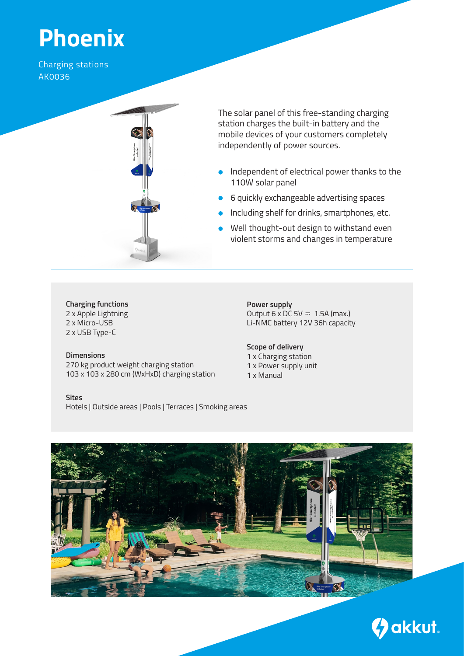# **Phoenix**

Charging stations AK0036



The solar panel of this free-standing charging station charges the built-in battery and the mobile devices of your customers completely independently of power sources.

- **Independent of electrical power thanks to the** 110W solar panel
- 6 quickly exchangeable advertising spaces
- Including shelf for drinks, smartphones, etc.
- Well thought-out design to withstand even violent storms and changes in temperature

### **Charging functions**

2 x Apple Lightning 2 x Micro-USB 2 x USB Type-C

#### **Dimensions**

270 kg product weight charging station 103 x 103 x 280 cm (WxHxD) charging station

**Sites** Hotels | Outside areas | Pools | Terraces | Smoking areas

**Power supply** Output  $6 \times DC$  5V  $\overline{ }$  1.5A (max.) Li-NMC battery 12V 36h capacity

#### **Scope of delivery** 1 x Charging station 1 x Power supply unit 1 x Manual